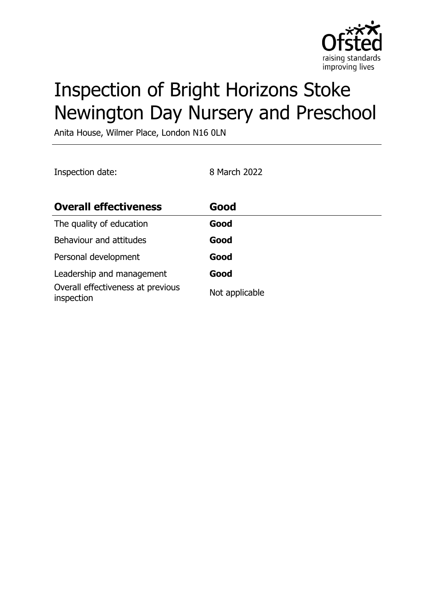

# Inspection of Bright Horizons Stoke Newington Day Nursery and Preschool

Anita House, Wilmer Place, London N16 0LN

Inspection date: 8 March 2022

| <b>Overall effectiveness</b>                    | Good           |
|-------------------------------------------------|----------------|
| The quality of education                        | Good           |
| Behaviour and attitudes                         | Good           |
| Personal development                            | Good           |
| Leadership and management                       | Good           |
| Overall effectiveness at previous<br>inspection | Not applicable |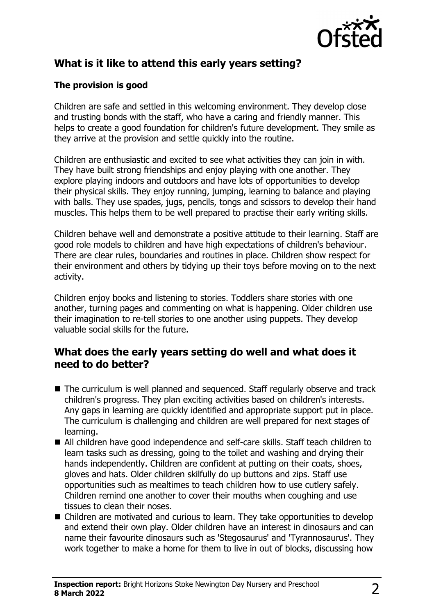

# **What is it like to attend this early years setting?**

#### **The provision is good**

Children are safe and settled in this welcoming environment. They develop close and trusting bonds with the staff, who have a caring and friendly manner. This helps to create a good foundation for children's future development. They smile as they arrive at the provision and settle quickly into the routine.

Children are enthusiastic and excited to see what activities they can join in with. They have built strong friendships and enjoy playing with one another. They explore playing indoors and outdoors and have lots of opportunities to develop their physical skills. They enjoy running, jumping, learning to balance and playing with balls. They use spades, jugs, pencils, tongs and scissors to develop their hand muscles. This helps them to be well prepared to practise their early writing skills.

Children behave well and demonstrate a positive attitude to their learning. Staff are good role models to children and have high expectations of children's behaviour. There are clear rules, boundaries and routines in place. Children show respect for their environment and others by tidying up their toys before moving on to the next activity.

Children enjoy books and listening to stories. Toddlers share stories with one another, turning pages and commenting on what is happening. Older children use their imagination to re-tell stories to one another using puppets. They develop valuable social skills for the future.

### **What does the early years setting do well and what does it need to do better?**

- The curriculum is well planned and sequenced. Staff regularly observe and track children's progress. They plan exciting activities based on children's interests. Any gaps in learning are quickly identified and appropriate support put in place. The curriculum is challenging and children are well prepared for next stages of learning.
- All children have good independence and self-care skills. Staff teach children to learn tasks such as dressing, going to the toilet and washing and drying their hands independently. Children are confident at putting on their coats, shoes, gloves and hats. Older children skilfully do up buttons and zips. Staff use opportunities such as mealtimes to teach children how to use cutlery safely. Children remind one another to cover their mouths when coughing and use tissues to clean their noses.
- Children are motivated and curious to learn. They take opportunities to develop and extend their own play. Older children have an interest in dinosaurs and can name their favourite dinosaurs such as 'Stegosaurus' and 'Tyrannosaurus'. They work together to make a home for them to live in out of blocks, discussing how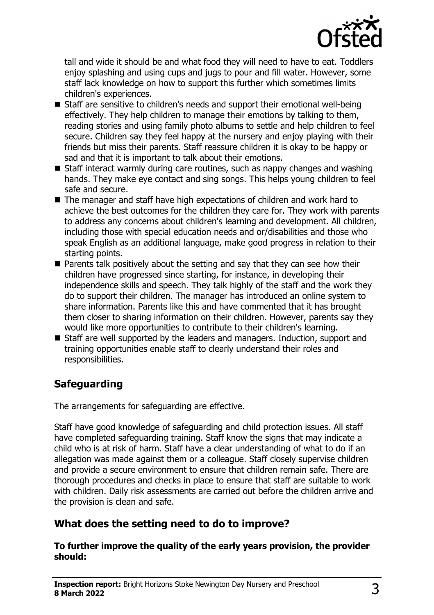

tall and wide it should be and what food they will need to have to eat. Toddlers enjoy splashing and using cups and jugs to pour and fill water. However, some staff lack knowledge on how to support this further which sometimes limits children's experiences.

- Staff are sensitive to children's needs and support their emotional well-being effectively. They help children to manage their emotions by talking to them, reading stories and using family photo albums to settle and help children to feel secure. Children say they feel happy at the nursery and enjoy playing with their friends but miss their parents. Staff reassure children it is okay to be happy or sad and that it is important to talk about their emotions.
- $\blacksquare$  Staff interact warmly during care routines, such as nappy changes and washing hands. They make eye contact and sing songs. This helps young children to feel safe and secure.
- $\blacksquare$  The manager and staff have high expectations of children and work hard to achieve the best outcomes for the children they care for. They work with parents to address any concerns about children's learning and development. All children, including those with special education needs and or/disabilities and those who speak English as an additional language, make good progress in relation to their starting points.
- $\blacksquare$  Parents talk positively about the setting and say that they can see how their children have progressed since starting, for instance, in developing their independence skills and speech. They talk highly of the staff and the work they do to support their children. The manager has introduced an online system to share information. Parents like this and have commented that it has brought them closer to sharing information on their children. However, parents say they would like more opportunities to contribute to their children's learning.
- $\blacksquare$  Staff are well supported by the leaders and managers. Induction, support and training opportunities enable staff to clearly understand their roles and responsibilities.

# **Safeguarding**

The arrangements for safeguarding are effective.

Staff have good knowledge of safeguarding and child protection issues. All staff have completed safeguarding training. Staff know the signs that may indicate a child who is at risk of harm. Staff have a clear understanding of what to do if an allegation was made against them or a colleague. Staff closely supervise children and provide a secure environment to ensure that children remain safe. There are thorough procedures and checks in place to ensure that staff are suitable to work with children. Daily risk assessments are carried out before the children arrive and the provision is clean and safe.

## **What does the setting need to do to improve?**

#### **To further improve the quality of the early years provision, the provider should:**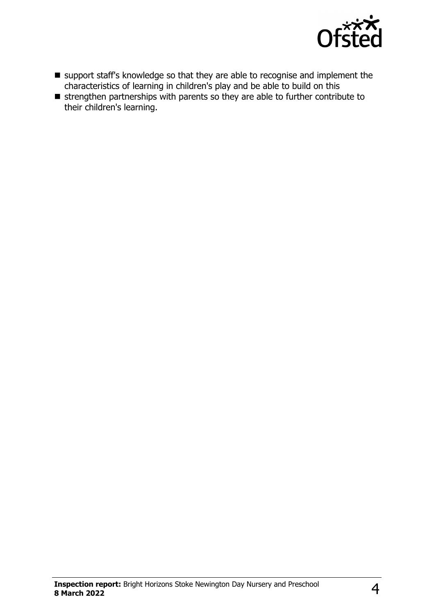

- n support staff's knowledge so that they are able to recognise and implement the characteristics of learning in children's play and be able to build on this
- $\blacksquare$  strengthen partnerships with parents so they are able to further contribute to their children's learning.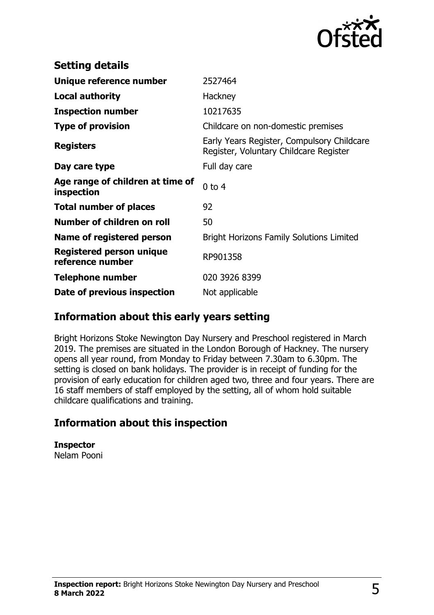

| <b>Setting details</b>                              |                                                                                      |
|-----------------------------------------------------|--------------------------------------------------------------------------------------|
| Unique reference number                             | 2527464                                                                              |
| <b>Local authority</b>                              | Hackney                                                                              |
| <b>Inspection number</b>                            | 10217635                                                                             |
| <b>Type of provision</b>                            | Childcare on non-domestic premises                                                   |
| <b>Registers</b>                                    | Early Years Register, Compulsory Childcare<br>Register, Voluntary Childcare Register |
| Day care type                                       | Full day care                                                                        |
| Age range of children at time of<br>inspection      | $0$ to 4                                                                             |
| <b>Total number of places</b>                       | 92                                                                                   |
| Number of children on roll                          | 50                                                                                   |
| Name of registered person                           | <b>Bright Horizons Family Solutions Limited</b>                                      |
| <b>Registered person unique</b><br>reference number | RP901358                                                                             |
| <b>Telephone number</b>                             | 020 3926 8399                                                                        |
| Date of previous inspection                         | Not applicable                                                                       |

### **Information about this early years setting**

Bright Horizons Stoke Newington Day Nursery and Preschool registered in March 2019. The premises are situated in the London Borough of Hackney. The nursery opens all year round, from Monday to Friday between 7.30am to 6.30pm. The setting is closed on bank holidays. The provider is in receipt of funding for the provision of early education for children aged two, three and four years. There are 16 staff members of staff employed by the setting, all of whom hold suitable childcare qualifications and training.

## **Information about this inspection**

**Inspector** Nelam Pooni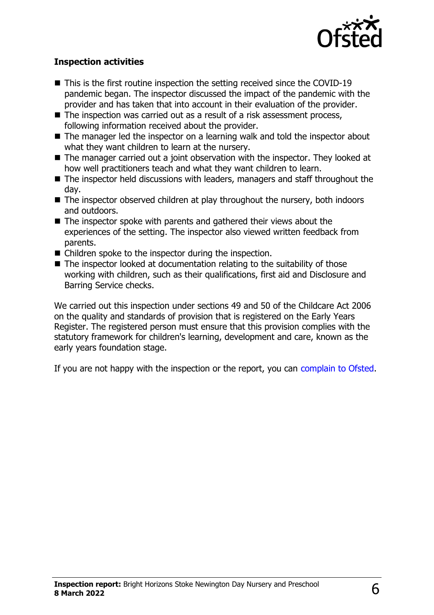

#### **Inspection activities**

- $\blacksquare$  This is the first routine inspection the setting received since the COVID-19 pandemic began. The inspector discussed the impact of the pandemic with the provider and has taken that into account in their evaluation of the provider.
- $\blacksquare$  The inspection was carried out as a result of a risk assessment process, following information received about the provider.
- $\blacksquare$  The manager led the inspector on a learning walk and told the inspector about what they want children to learn at the nursery.
- $\blacksquare$  The manager carried out a joint observation with the inspector. They looked at how well practitioners teach and what they want children to learn.
- $\blacksquare$  The inspector held discussions with leaders, managers and staff throughout the day.
- $\blacksquare$  The inspector observed children at play throughout the nursery, both indoors and outdoors.
- $\blacksquare$  The inspector spoke with parents and gathered their views about the experiences of the setting. The inspector also viewed written feedback from parents.
- $\blacksquare$  Children spoke to the inspector during the inspection.
- $\blacksquare$  The inspector looked at documentation relating to the suitability of those working with children, such as their qualifications, first aid and Disclosure and Barring Service checks.

We carried out this inspection under sections 49 and 50 of the Childcare Act 2006 on the quality and standards of provision that is registered on the Early Years Register. The registered person must ensure that this provision complies with the statutory framework for children's learning, development and care, known as the early years foundation stage.

If you are not happy with the inspection or the report, you can [complain to Ofsted](http://www.gov.uk/complain-ofsted-report).